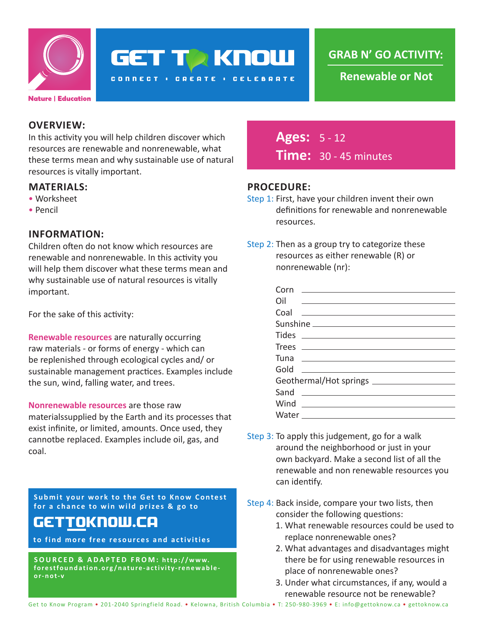

# **GET TA KNOW**

**CONNECT : CREATE : CELEBRATE** 

**GRAB N' GO ACTIVITY:**

 **Renewable or Not**

## **OVERVIEW:**

In this activity you will help children discover which resources are renewable and nonrenewable, what these terms mean and why sustainable use of natural resources is vitally important.

#### **MATERIALS:**

- Worksheet
- Pencil

### **INFORMATION:**

Children often do not know which resources are renewable and nonrenewable. In this activity you will help them discover what these terms mean and why sustainable use of natural resources is vitally important.

For the sake of this activity:

**Renewable resources** are naturally occurring raw materials - or forms of energy - which can be replenished through ecological cycles and/ or sustainable management practices. Examples include the sun, wind, falling water, and trees.

**Nonrenewable resources** are those raw materialssupplied by the Earth and its processes that exist infinite, or limited, amounts. Once used, they cannotbe replaced. Examples include oil, gas, and coal.

**Submit your work to the Get to Know Contest for a chance to win wild prizes & go to**

# gettoknow.ca

**to find more free resources and activities**

**SOURCED & ADAPTED FROM: http://www. forestfoundation.org/nature-activity-renewableor-not-v**

**Ages:** 5 - 12 **Time:** 30 - 45 minutes

### **PROCEDURE:**

- Step 1: First, have your children invent their own definitions for renewable and nonrenewable resources.
- Step 2: Then as a group try to categorize these resources as either renewable (R) or nonrenewable (nr):

| Corn<br><u> 1980 - Antonio Alemania, prima prestava postala de la provincia de la provincia de la provincia de la provincia de la provincia de la provincia de la provincia de la provincia de la provincia de la provincia de la provin</u> |
|----------------------------------------------------------------------------------------------------------------------------------------------------------------------------------------------------------------------------------------------|
| Oil <u>_________________________________</u>                                                                                                                                                                                                 |
|                                                                                                                                                                                                                                              |
|                                                                                                                                                                                                                                              |
|                                                                                                                                                                                                                                              |
| $\begin{tabular}{c} Trees \end{tabular}$                                                                                                                                                                                                     |
|                                                                                                                                                                                                                                              |
| Gold<br><u> 1980 - Jan Barbara (h. 1980).</u><br>Demografia                                                                                                                                                                                  |
|                                                                                                                                                                                                                                              |
| Sand                                                                                                                                                                                                                                         |
| Wind _________________________                                                                                                                                                                                                               |
|                                                                                                                                                                                                                                              |

- Step 3: To apply this judgement, go for a walk around the neighborhood or just in your own backyard. Make a second list of all the renewable and non renewable resources you can identify.
- Step 4: Back inside, compare your two lists, then consider the following questions:
	- 1. What renewable resources could be used to replace nonrenewable ones?
	- 2. What advantages and disadvantages might there be for using renewable resources in place of nonrenewable ones?
	- 3. Under what circumstances, if any, would a renewable resource not be renewable?